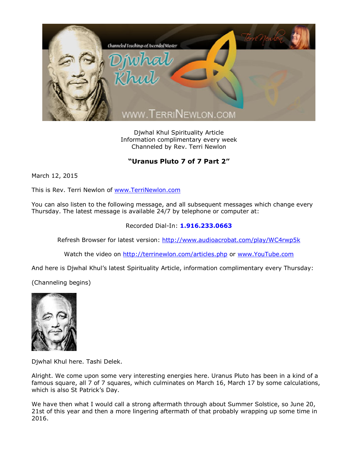

Djwhal Khul Spirituality Article Information complimentary every week Channeled by Rev. Terri Newlon

## **"Uranus Pluto 7 of 7 Part 2"**

March 12, 2015

This is Rev. Terri Newlon of [www.TerriNewlon.com](http://www.terrinewlon.com/)

You can also listen to the following message, and all subsequent messages which change every Thursday. The latest message is available 24/7 by telephone or computer at:

## Recorded Dial-In: **1.916.233.0663**

Refresh Browser for latest version: <http://www.audioacrobat.com/play/WC4rwp5k>

Watch the video on <http://terrinewlon.com/articles.php> or [www.YouTube.com](http://www.youtube.com/)

And here is Djwhal Khul's latest Spirituality Article, information complimentary every Thursday:

(Channeling begins)



Djwhal Khul here. Tashi Delek.

Alright. We come upon some very interesting energies here. Uranus Pluto has been in a kind of a famous square, all 7 of 7 squares, which culminates on March 16, March 17 by some calculations, which is also St Patrick's Day.

We have then what I would call a strong aftermath through about Summer Solstice, so June 20, 21st of this year and then a more lingering aftermath of that probably wrapping up some time in 2016.